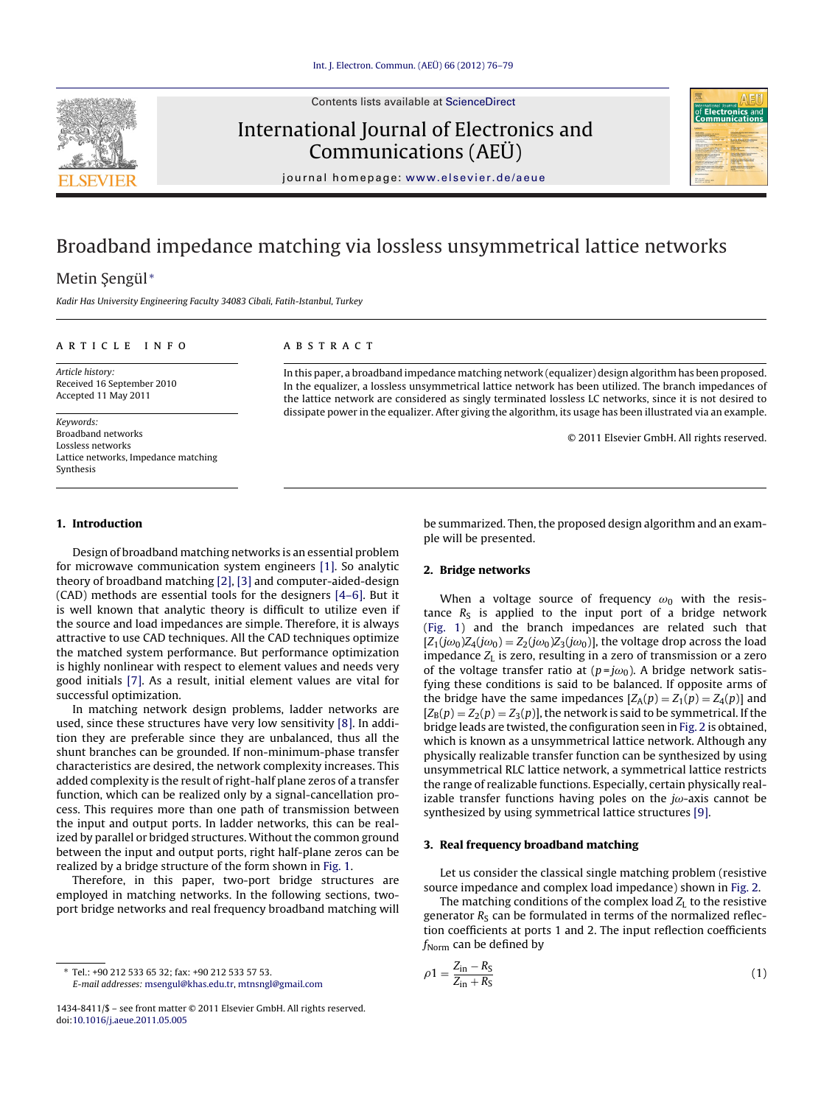<span id="page-0-0"></span>

Contents lists available at [ScienceDirect](http://www.sciencedirect.com/science/journal/14348411)

# International Journal of Electronics and Communications (AEÜ)



journal homepage: [www.elsevier.de/aeue](http://www.elsevier.de/aeue)

# Broadband impedance matching via lossless unsymmetrical lattice networks

# Metin Şengül<sup>\*</sup>

Kadir Has University Engineering Faculty 34083 Cibali, Fatih-Istanbul, Turkey

#### a r t i c l e i n f o

A B S T R A C T

Article history: Received 16 September 2010 Accepted 11 May 2011

Keywords: Broadband networks Lossless networks Lattice networks, Impedance matching Synthesis

In this paper, a broadband impedance matching network (equalizer) design algorithm has been proposed. In the equalizer, a lossless unsymmetrical lattice network has been utilized. The branch impedances of the lattice network are considered as singly terminated lossless LC networks, since it is not desired to dissipate power in the equalizer. After giving the algorithm, its usage has been illustrated via an example.

© 2011 Elsevier GmbH. All rights reserved.

### **1. Introduction**

Design of broadband matching networks is an essential problem for microwave communication system engineers [\[1\].](#page-3-0) So analytic theory of broadband matching [\[2\],](#page-3-0) [\[3\]](#page-3-0) and computer-aided-design (CAD) methods are essential tools for the designers [\[4–6\].](#page-3-0) But it is well known that analytic theory is difficult to utilize even if the source and load impedances are simple. Therefore, it is always attractive to use CAD techniques. All the CAD techniques optimize the matched system performance. But performance optimization is highly nonlinear with respect to element values and needs very good initials [\[7\].](#page-3-0) As a result, initial element values are vital for successful optimization.

In matching network design problems, ladder networks are used, since these structures have very low sensitivity [\[8\].](#page-3-0) In addition they are preferable since they are unbalanced, thus all the shunt branches can be grounded. If non-minimum-phase transfer characteristics are desired, the network complexity increases. This added complexity is the result of right-half plane zeros of a transfer function, which can be realized only by a signal-cancellation process. This requires more than one path of transmission between the input and output ports. In ladder networks, this can be realized by parallel or bridged structures. Without the common ground between the input and output ports, right half-plane zeros can be realized by a bridge structure of the form shown in [Fig.](#page-1-0) 1.

Therefore, in this paper, two-port bridge structures are employed in matching networks. In the following sections, twoport bridge networks and real frequency broadband matching will

∗ Tel.: +90 212 533 65 32; fax: +90 212 533 57 53. E-mail addresses: [msengul@khas.edu.tr,](mailto:msengul@khas.edu.tr) [mtnsngl@gmail.com](mailto:mtnsngl@gmail.com) be summarized. Then, the proposed design algorithm and an example will be presented.

# **2. Bridge networks**

When a voltage source of frequency  $\omega_0$  with the resistance  $R<sub>S</sub>$  is applied to the input port of a bridge network [\(Fig.](#page-1-0) 1) and the branch impedances are related such that  $[Z_1(j\omega_0)Z_4(j\omega_0) = Z_2(j\omega_0)Z_3(j\omega_0)]$ , the voltage drop across the load impedance  $Z_L$  is zero, resulting in a zero of transmission or a zero of the voltage transfer ratio at  $(p=j\omega_0)$ . A bridge network satisfying these conditions is said to be balanced. If opposite arms of the bridge have the same impedances  $[Z_A(p) = Z_1(p) = Z_4(p)]$  and  $[Z_B(p) = Z_2(p) = Z_3(p)]$ , the network is said to be symmetrical. If the bridge leads are twisted, the configuration seen in [Fig.](#page-1-0) 2 is obtained, which is known as a unsymmetrical lattice network. Although any physically realizable transfer function can be synthesized by using unsymmetrical RLC lattice network, a symmetrical lattice restricts the range of realizable functions. Especially, certain physically realizable transfer functions having poles on the  $j\omega$ -axis cannot be synthesized by using symmetrical lattice structures [\[9\].](#page-3-0)

#### **3. Real frequency broadband matching**

Let us consider the classical single matching problem (resistive source impedance and complex load impedance) shown in [Fig.](#page-1-0) 2.

The matching conditions of the complex load  $Z_L$  to the resistive generator  $R<sub>S</sub>$  can be formulated in terms of the normalized reflection coefficients at ports 1 and 2. The input reflection coefficients  $f_{\text{Norm}}$  can be defined by

$$
\rho_1 = \frac{Z_{\rm in} - R_{\rm S}}{Z_{\rm in} + R_{\rm S}}\tag{1}
$$

<sup>1434-8411/\$</sup> – see front matter © 2011 Elsevier GmbH. All rights reserved. doi:[10.1016/j.aeue.2011.05.005](dx.doi.org/10.1016/j.aeue.2011.05.005)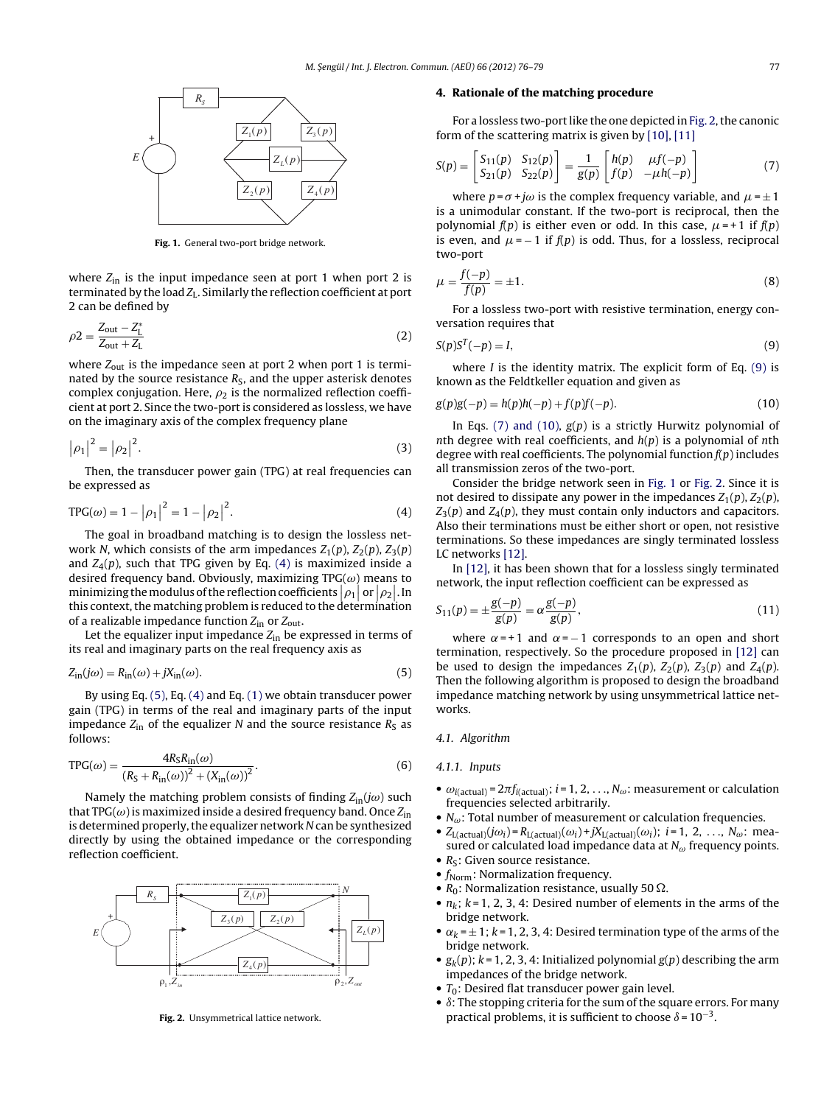<span id="page-1-0"></span>

**Fig. 1.** General two-port bridge network.

where  $Z_{\text{in}}$  is the input impedance seen at port 1 when port 2 is terminated by the load  $Z_L$ . Similarly the reflection coefficient at port 2 can be defined by

$$
\rho_2 = \frac{Z_{\text{out}} - Z_{\text{L}}^*}{Z_{\text{out}} + Z_{\text{L}}}
$$
\n(2)

where  $Z_{\text{out}}$  is the impedance seen at port 2 when port 1 is terminated by the source resistance  $R<sub>S</sub>$ , and the upper asterisk denotes complex conjugation. Here,  $\rho_2$  is the normalized reflection coefficient at port 2. Since the two-port is considered as lossless, we have on the imaginary axis of the complex frequency plane

$$
|\rho_1|^2 = |\rho_2|^2. \tag{3}
$$

Then, the transducer power gain (TPG) at real frequencies can be expressed as

$$
TPG(\omega) = 1 - |\rho_1|^2 = 1 - |\rho_2|^2.
$$
 (4)

The goal in broadband matching is to design the lossless network N, which consists of the arm impedances  $Z_1(p)$ ,  $Z_2(p)$ ,  $Z_3(p)$ and  $Z_4(p)$ , such that TPG given by Eq. (4) is maximized inside a desired frequency band. Obviously, maximizing  $TPG(\omega)$  means to minimizing the modulus of the reflection coefficients  $|\rho_1|$  or  $|\rho_2|.$  In  $\limmin_{P_1 \to P_2} \limsup_{\varepsilon \to 0} \limsup_{P_1 \to P_2} \limsup_{P_2 \to P_1} \limsup_{P_1 \to P_2} \limsup_{P_1 \to P_2} \limsup_{P_1 \to P_2} \limsup_{P_1 \to P_2} \limsup_{P_1 \to P_2} \limsup_{P_1 \to P_2} \limsup_{P_1 \to P_2} \limsup_{P_1 \to P_2} \limsup_{P_1 \to P_2} \limsup_{P_1 \to P_2} \limsup_{P_1 \to P_2} \limsup_{P_1 \to P_2} \limsup_{P_1 \to P_2$ of a realizable impedance function  $Z_{\text{in}}$  or  $Z_{\text{out}}$ .

Let the equalizer input impedance  $Z_{in}$  be expressed in terms of its real and imaginary parts on the real frequency axis as

$$
Z_{\rm in}(j\omega) = R_{\rm in}(\omega) + jX_{\rm in}(\omega). \tag{5}
$$

By using Eq. (5), Eq. (4) and Eq. [\(1\)](#page-0-0) we obtain transducer power gain (TPG) in terms of the real and imaginary parts of the input impedance  $Z_{\text{in}}$  of the equalizer N and the source resistance  $R_{\text{S}}$  as follows:

$$
TPG(\omega) = \frac{4R_{\rm S}R_{\rm in}(\omega)}{(R_{\rm S} + R_{\rm in}(\omega))^2 + (X_{\rm in}(\omega))^2}.
$$
 (6)

Namely the matching problem consists of finding  $Z_{in}(j\omega)$  such that TPG( $\omega$ ) is maximized inside a desired frequency band. Once  $Z_{\text{in}}$ is determined properly, the equalizer network N can be synthesized directly by using the obtained impedance or the corresponding reflection coefficient.



**Fig. 2.** Unsymmetrical lattice network.

#### **4. Rationale of the matching procedure**

For a lossless two-port like the one depicted in Fig. 2, the canonic form of the scattering matrix is given by [\[10\],](#page-3-0) [\[11\]](#page-3-0)

$$
S(p) = \begin{bmatrix} S_{11}(p) & S_{12}(p) \\ S_{21}(p) & S_{22}(p) \end{bmatrix} = \frac{1}{g(p)} \begin{bmatrix} h(p) & \mu f(-p) \\ f(p) & -\mu h(-p) \end{bmatrix}
$$
(7)

where  $p = \sigma + j\omega$  is the complex frequency variable, and  $\mu = \pm 1$ is a unimodular constant. If the two-port is reciprocal, then the polynomial  $f(p)$  is either even or odd. In this case,  $\mu = +1$  if  $f(p)$ is even, and  $\mu = -1$  if  $f(p)$  is odd. Thus, for a lossless, reciprocal two-port

$$
\mu = \frac{f(-p)}{f(p)} = \pm 1.
$$
\n(8)

For a lossless two-port with resistive termination, energy conversation requires that

$$
S(p)ST(-p) = I,
$$
\n(9)

where  $I$  is the identity matrix. The explicit form of Eq.  $(9)$  is known as the Feldtkeller equation and given as

$$
g(p)g(-p) = h(p)h(-p) + f(p)f(-p).
$$
 (10)

In Eqs. (7) and (10),  $g(p)$  is a strictly Hurwitz polynomial of nth degree with real coefficients, and  $h(p)$  is a polynomial of nth degree with real coefficients. The polynomial function  $f(p)$  includes all transmission zeros of the two-port.

Consider the bridge network seen in Fig. 1 or Fig. 2. Since it is not desired to dissipate any power in the impedances  $Z_1(p)$ ,  $Z_2(p)$ ,  $Z_3(p)$  and  $Z_4(p)$ , they must contain only inductors and capacitors. Also their terminations must be either short or open, not resistive terminations. So these impedances are singly terminated lossless LC networks [\[12\].](#page-3-0)

In [\[12\],](#page-3-0) it has been shown that for a lossless singly terminated network, the input reflection coefficient can be expressed as

$$
S_{11}(p) = \pm \frac{g(-p)}{g(p)} = \alpha \frac{g(-p)}{g(p)},
$$
\n(11)

where  $\alpha = +1$  and  $\alpha = -1$  corresponds to an open and short termination, respectively. So the procedure proposed in [\[12\]](#page-3-0) can be used to design the impedances  $Z_1(p)$ ,  $Z_2(p)$ ,  $Z_3(p)$  and  $Z_4(p)$ . Then the following algorithm is proposed to design the broadband impedance matching network by using unsymmetrical lattice networks.

#### 4.1. Algorithm

### 4.1.1. Inputs

- $\omega_{i(\text{actual})} = 2\pi f_{i(\text{actual})}; i = 1, 2, ..., N_{\omega}$ : measurement or calculation frequencies selected arbitrarily.
- $N_{\omega}$ : Total number of measurement or calculation frequencies.
- $Z_{\text{L}(\text{actual})}(j\omega_i) = R_{\text{L}(\text{actual})}(\omega_i) + jX_{\text{L}(\text{actual})}(\omega_i); i = 1, 2, ..., N_{\omega}; \text{mea-}$ sured or calculated load impedance data at  $N_{\omega}$  frequency points.
- $R<sub>S</sub>$ : Given source resistance.
- $f_{\text{Norm}}$ : Normalization frequency.
- $R_0$ : Normalization resistance, usually 50  $\Omega$ .
- $n_k$ ;  $k = 1, 2, 3, 4$ : Desired number of elements in the arms of the bridge network.
- $\alpha_k = \pm 1$ ; k = 1, 2, 3, 4: Desired termination type of the arms of the bridge network.
- $g_k(p)$ ;  $k = 1, 2, 3, 4$ ; Initialized polynomial  $g(p)$  describing the arm impedances of the bridge network.
- $T_0$ : Desired flat transducer power gain level.
- $\bullet$   $\delta$ : The stopping criteria for the sum of the square errors. For many practical problems, it is sufficient to choose  $\delta = 10^{-3}$ .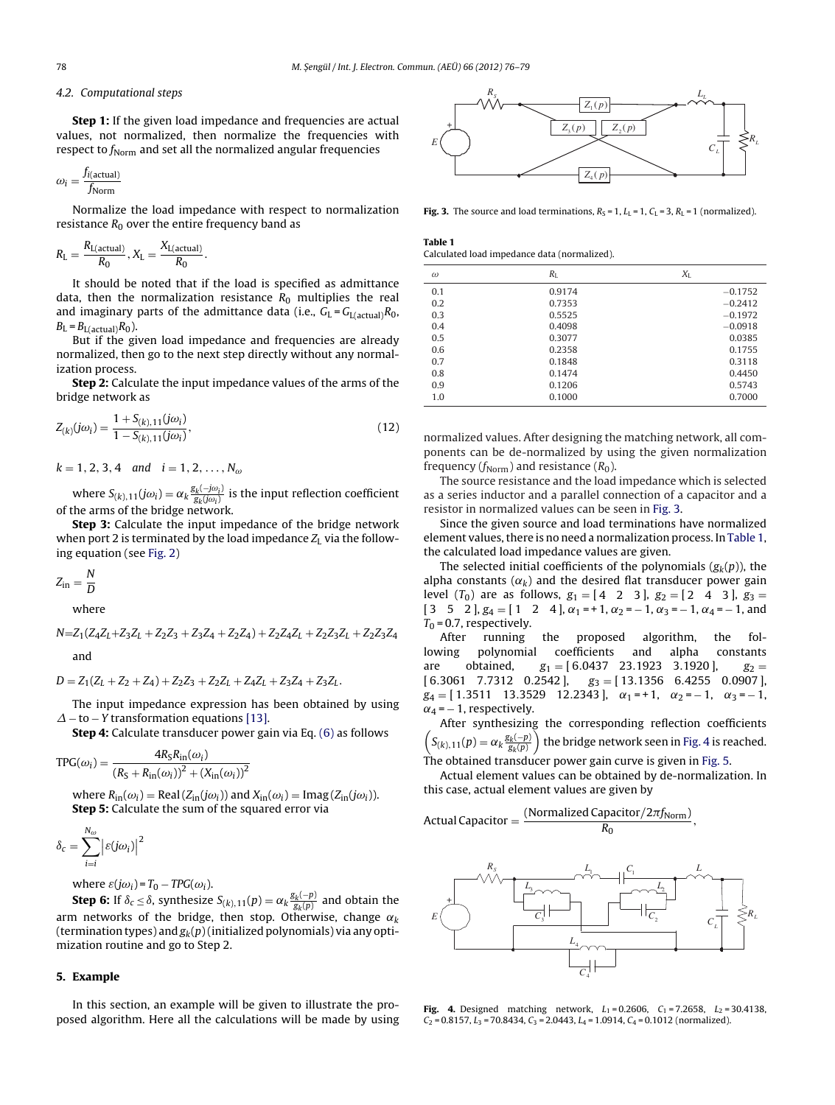#### 4.2. Computational steps

**Step 1:** If the given load impedance and frequencies are actual values, not normalized, then normalize the frequencies with respect to  $f_{\text{Norm}}$  and set all the normalized angular frequencies

$$
\omega_i = \frac{f_{i(\text{actual})}}{f_{\text{Norm}}}
$$

Normalize the load impedance with respect to normalization resistance  $R_0$  over the entire frequency band as

$$
R_L = \frac{R_{L(\text{actual})}}{R_0}, X_L = \frac{X_{L(\text{actual})}}{R_0}.
$$

It should be noted that if the load is specified as admittance data, then the normalization resistance  $R_0$  multiplies the real and imaginary parts of the admittance data (i.e.,  $G_L = G_{L(\text{actual})}R_0$ ,  $B_{\text{L}} = B_{\text{L}(\text{actual})} R_0$ .

But if the given load impedance and frequencies are already normalized, then go to the next step directly without any normalization process.

**Step 2:** Calculate the input impedance values of the arms of the bridge network as

$$
Z_{(k)}(j\omega_i) = \frac{1 + S_{(k),11}(j\omega_i)}{1 - S_{(k),11}(j\omega_i)},
$$
\n(12)

 $k = 1, 2, 3, 4$  and  $i = 1, 2, ..., N_{\omega}$ 

where  $S_{(k),11}(j\omega_i)=\alpha_k\frac{g_k(-j\omega_i)}{g_k(j\omega_i)}$  is the input reflection coefficient of the arms of the bridge network.

**Step 3:** Calculate the input impedance of the bridge network when port 2 is terminated by the load impedance  $Z_L$  via the following equation (see [Fig.](#page-1-0) 2)

$$
Z_{\rm in} = \frac{N}{D}
$$

where

 $N=Z_1(Z_4Z_1+Z_3Z_1+Z_2Z_3+Z_3Z_4+Z_2Z_4)+Z_2Z_4Z_1+Z_2Z_3Z_1+Z_2Z_3Z_4$ and

$$
D = Z_1(Z_L + Z_2 + Z_4) + Z_2 Z_3 + Z_2 Z_L + Z_4 Z_L + Z_3 Z_4 + Z_3 Z_L.
$$

The input impedance expression has been obtained by using  $\Delta$  – to – Y transformation equations [\[13\].](#page-3-0)

**Step 4:** Calculate transducer power gain via Eq. [\(6\)](#page-1-0) as follows

$$
TPG(\omega_i) = \frac{4R_S R_{\text{in}}(\omega_i)}{(R_S + R_{\text{in}}(\omega_i))^2 + (X_{\text{in}}(\omega_i))^2}
$$

where  $R_{\text{in}}(\omega_i) = \text{Real}(Z_{\text{in}}(j\omega_i))$  and  $X_{\text{in}}(\omega_i) = \text{Imag}(Z_{\text{in}}(j\omega_i)).$ **Step 5:** Calculate the sum of the squared error via

$$
\delta_c = \sum_{i=i}^{N_{\omega}} \left| \varepsilon(j\omega_i) \right|^2
$$

where  $\varepsilon(j\omega_i) = T_0 - TPG(\omega_i)$ .

**Step 6:** If  $\delta_c \leq \delta$ , synthesize  $S_{(k),11}(p) = \alpha_k \frac{g_k(-p)}{g_k(p)}$  and obtain the arm networks of the bridge, then stop. Otherwise, change  $\alpha_k$ (termination types) and  $g_k(p)$  (initialized polynomials) via any optimization routine and go to Step 2.

#### **5. Example**

In this section, an example will be given to illustrate the proposed algorithm. Here all the calculations will be made by using



**Fig. 3.** The source and load terminations,  $R_S = 1$ ,  $L_L = 1$ ,  $C_L = 3$ ,  $R_L = 1$  (normalized).

**Table 1** Calculated load impedance data (normalized).

| $\omega$ | $R_{\rm L}$ | $X_{L}$   |
|----------|-------------|-----------|
| 0.1      | 0.9174      | $-0.1752$ |
| 0.2      | 0.7353      | $-0.2412$ |
| 0.3      | 0.5525      | $-0.1972$ |
| 0.4      | 0.4098      | $-0.0918$ |
| 0.5      | 0.3077      | 0.0385    |
| 0.6      | 0.2358      | 0.1755    |
| 0.7      | 0.1848      | 0.3118    |
| 0.8      | 0.1474      | 0.4450    |
| 0.9      | 0.1206      | 0.5743    |
| 1.0      | 0.1000      | 0.7000    |
|          |             |           |

normalized values. After designing the matching network, all components can be de-normalized by using the given normalization frequency ( $f_{\text{Norm}}$ ) and resistance ( $R_0$ ).

The source resistance and the load impedance which is selected as a series inductor and a parallel connection of a capacitor and a resistor in normalized values can be seen in Fig. 3.

Since the given source and load terminations have normalized element values, there is no need a normalization process. In Table 1, the calculated load impedance values are given.

The selected initial coefficients of the polynomials  $(g_k(p))$ , the alpha constants  $(\alpha_k)$  and the desired flat transducer power gain level  $(T_0)$  are as follows,  $g_1 = [4 \ 2 \ 3]$ ,  $g_2 = [2 \ 4 \ 3]$ ,  $g_3 =$  $[3 \ 5 \ 2], g_4 = [1 \ 2 \ 4], \alpha_1 = 1, \alpha_2 = -1, \alpha_3 = -1, \alpha_4 = -1, \text{and}$ 

 $T_0$  = 0.7, respectively.<br>After running After running the proposed algorithm, the following polynomial coefficients and alpha constants are obtained,  $g_1 = [6.0437 \quad 23.1923 \quad 3.1920]$ ,  $g_2 =$  $[6.3061 \quad 7.7312 \quad 0.2542], \quad g_3 = [13.1356 \quad 6.4255 \quad 0.0907],$  $g_4 = [ 1.3511 \quad 13.3529 \quad 12.2343 ], \quad \alpha_1 = +1, \quad \alpha_2 = -1, \quad \alpha_3 = -1,$  $\alpha_4$  = – 1, respectively.

After synthesizing the corresponding reflection coefficients  $\left(S_{(k),11}(p) = \alpha_k \frac{g_k(-p)}{g_k(p)}\right)$  the bridge network seen in Fig. 4 is reached.

The obtained transducer power gain curve is given in [Fig.](#page-3-0) 5.

Actual element values can be obtained by de-normalization. In this case, actual element values are given by

Actual Capacity = 
$$
\frac{\text{(Normalized Capacity}/2\pi f_{Norm})}{R_0},
$$



**Fig. 4.** Designed matching network,  $L_1 = 0.2606$ ,  $C_1 = 7.2658$ ,  $L_2 = 30.4138$ ,  $C_2$  = 0.8157,  $L_3$  = 70.8434,  $C_3$  = 2.0443,  $L_4$  = 1.0914,  $C_4$  = 0.1012 (normalized).